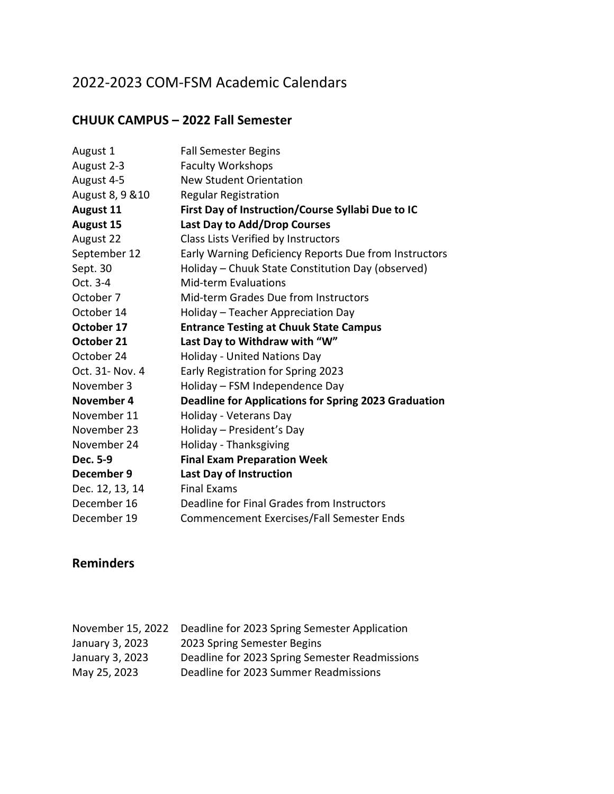# 2022-2023 COM-FSM Academic Calendars

#### **CHUUK CAMPUS – 2022 Fall Semester**

| August 1         | <b>Fall Semester Begins</b>                                 |
|------------------|-------------------------------------------------------------|
| August 2-3       | <b>Faculty Workshops</b>                                    |
| August 4-5       | <b>New Student Orientation</b>                              |
| August 8, 9 & 10 | <b>Regular Registration</b>                                 |
| August 11        | First Day of Instruction/Course Syllabi Due to IC           |
| <b>August 15</b> | Last Day to Add/Drop Courses                                |
| August 22        | Class Lists Verified by Instructors                         |
| September 12     | Early Warning Deficiency Reports Due from Instructors       |
| Sept. 30         | Holiday - Chuuk State Constitution Day (observed)           |
| Oct. 3-4         | <b>Mid-term Evaluations</b>                                 |
| October 7        | Mid-term Grades Due from Instructors                        |
| October 14       | Holiday - Teacher Appreciation Day                          |
| October 17       | <b>Entrance Testing at Chuuk State Campus</b>               |
| October 21       | Last Day to Withdraw with "W"                               |
|                  |                                                             |
| October 24       | <b>Holiday - United Nations Day</b>                         |
| Oct. 31- Nov. 4  | Early Registration for Spring 2023                          |
| November 3       | Holiday - FSM Independence Day                              |
| November 4       | <b>Deadline for Applications for Spring 2023 Graduation</b> |
| November 11      | Holiday - Veterans Day                                      |
| November 23      | Holiday - President's Day                                   |
| November 24      | Holiday - Thanksgiving                                      |
| Dec. 5-9         | <b>Final Exam Preparation Week</b>                          |
| December 9       | <b>Last Day of Instruction</b>                              |
| Dec. 12, 13, 14  | <b>Final Exams</b>                                          |
| December 16      | Deadline for Final Grades from Instructors                  |

#### **Reminders**

| November 15, 2022 | Deadline for 2023 Spring Semester Application  |
|-------------------|------------------------------------------------|
| January 3, 2023   | 2023 Spring Semester Begins                    |
| January 3, 2023   | Deadline for 2023 Spring Semester Readmissions |
| May 25, 2023      | Deadline for 2023 Summer Readmissions          |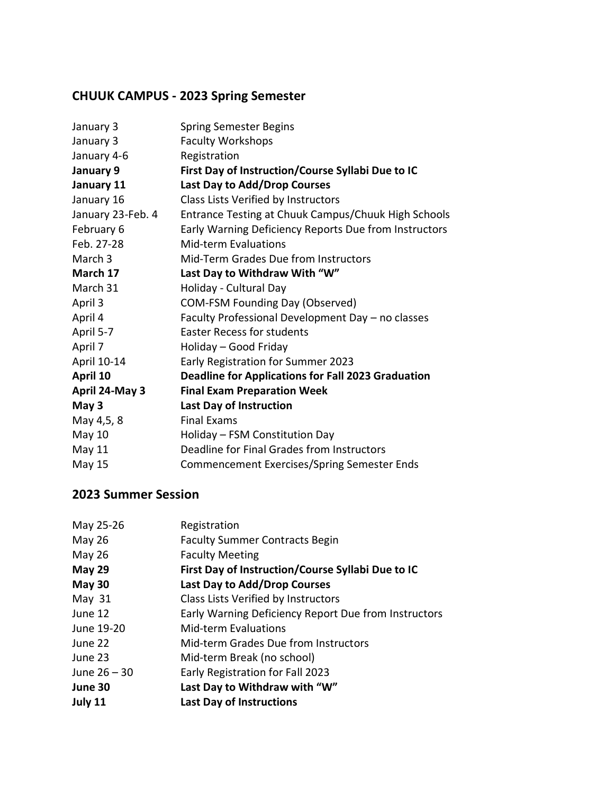# **CHUUK CAMPUS - 2023 Spring Semester**

| January 3         | <b>Spring Semester Begins</b>                             |
|-------------------|-----------------------------------------------------------|
| January 3         | <b>Faculty Workshops</b>                                  |
| January 4-6       | Registration                                              |
| January 9         | First Day of Instruction/Course Syllabi Due to IC         |
| January 11        | Last Day to Add/Drop Courses                              |
| January 16        | Class Lists Verified by Instructors                       |
| January 23-Feb. 4 | Entrance Testing at Chuuk Campus/Chuuk High Schools       |
| February 6        | Early Warning Deficiency Reports Due from Instructors     |
| Feb. 27-28        | Mid-term Evaluations                                      |
| March 3           | Mid-Term Grades Due from Instructors                      |
| March 17          | Last Day to Withdraw With "W"                             |
| March 31          | Holiday - Cultural Day                                    |
| April 3           | <b>COM-FSM Founding Day (Observed)</b>                    |
| April 4           | Faculty Professional Development Day - no classes         |
| April 5-7         | <b>Easter Recess for students</b>                         |
| April 7           | Holiday - Good Friday                                     |
| April 10-14       | Early Registration for Summer 2023                        |
| April 10          | <b>Deadline for Applications for Fall 2023 Graduation</b> |
| April 24-May 3    | <b>Final Exam Preparation Week</b>                        |
| May 3             | Last Day of Instruction                                   |
| May 4,5, 8        | <b>Final Exams</b>                                        |
| May 10            | Holiday - FSM Constitution Day                            |
| May 11            | Deadline for Final Grades from Instructors                |
| May 15            | <b>Commencement Exercises/Spring Semester Ends</b>        |
|                   |                                                           |

| May 25-26      | Registration                                         |
|----------------|------------------------------------------------------|
| <b>May 26</b>  | <b>Faculty Summer Contracts Begin</b>                |
| <b>May 26</b>  | <b>Faculty Meeting</b>                               |
| May 29         | First Day of Instruction/Course Syllabi Due to IC    |
| May 30         | Last Day to Add/Drop Courses                         |
| May $31$       | Class Lists Verified by Instructors                  |
| June 12        | Early Warning Deficiency Report Due from Instructors |
| June 19-20     | Mid-term Evaluations                                 |
| June 22        | Mid-term Grades Due from Instructors                 |
| June 23        | Mid-term Break (no school)                           |
| June $26 - 30$ | Early Registration for Fall 2023                     |
| June 30        | Last Day to Withdraw with "W"                        |
| July 11        | <b>Last Day of Instructions</b>                      |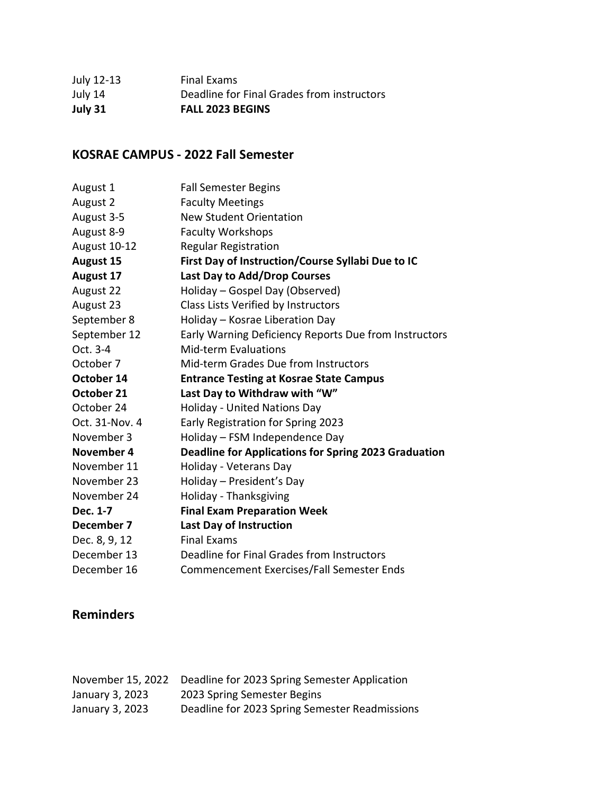| July 31    | <b>FALL 2023 BEGINS</b>                    |
|------------|--------------------------------------------|
| July 14    | Deadline for Final Grades from instructors |
| July 12-13 | Final Exams                                |

#### **KOSRAE CAMPUS - 2022 Fall Semester**

| August 1         | <b>Fall Semester Begins</b>                                 |
|------------------|-------------------------------------------------------------|
| August 2         | <b>Faculty Meetings</b>                                     |
| August 3-5       | <b>New Student Orientation</b>                              |
| August 8-9       | <b>Faculty Workshops</b>                                    |
| August 10-12     | <b>Regular Registration</b>                                 |
| <b>August 15</b> | First Day of Instruction/Course Syllabi Due to IC           |
| August 17        | Last Day to Add/Drop Courses                                |
| August 22        | Holiday - Gospel Day (Observed)                             |
| August 23        | Class Lists Verified by Instructors                         |
| September 8      | Holiday - Kosrae Liberation Day                             |
| September 12     | Early Warning Deficiency Reports Due from Instructors       |
| Oct. 3-4         | <b>Mid-term Evaluations</b>                                 |
| October 7        | Mid-term Grades Due from Instructors                        |
| October 14       | <b>Entrance Testing at Kosrae State Campus</b>              |
| October 21       | Last Day to Withdraw with "W"                               |
| October 24       | <b>Holiday - United Nations Day</b>                         |
| Oct. 31-Nov. 4   | Early Registration for Spring 2023                          |
| November 3       | Holiday - FSM Independence Day                              |
| November 4       | <b>Deadline for Applications for Spring 2023 Graduation</b> |
| November 11      | Holiday - Veterans Day                                      |
| November 23      | Holiday - President's Day                                   |
| November 24      | Holiday - Thanksgiving                                      |
| Dec. 1-7         | <b>Final Exam Preparation Week</b>                          |
| December 7       | <b>Last Day of Instruction</b>                              |
| Dec. 8, 9, 12    | <b>Final Exams</b>                                          |
| December 13      | Deadline for Final Grades from Instructors                  |
| December 16      | Commencement Exercises/Fall Semester Ends                   |

### **Reminders**

| November 15, 2022 | Deadline for 2023 Spring Semester Application  |
|-------------------|------------------------------------------------|
| January 3, 2023   | 2023 Spring Semester Begins                    |
| January 3, 2023   | Deadline for 2023 Spring Semester Readmissions |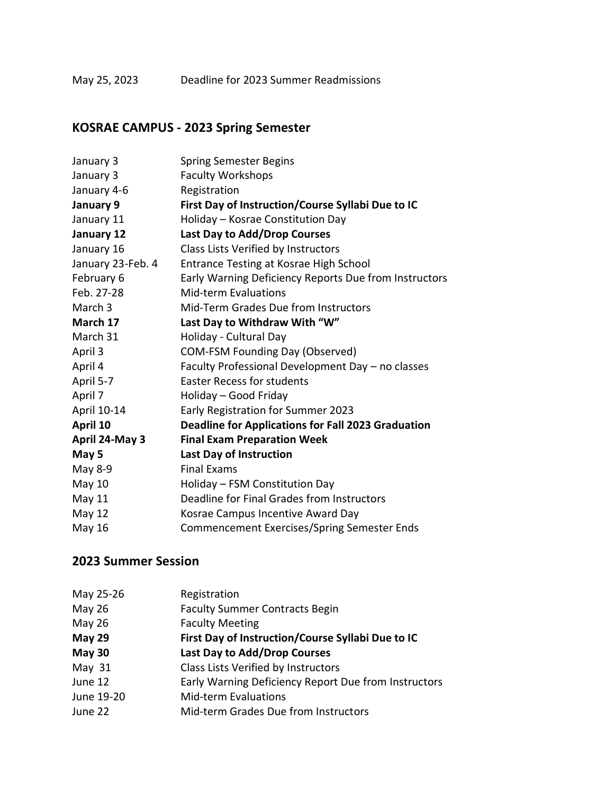#### May 25, 2023 Deadline for 2023 Summer Readmissions

# **KOSRAE CAMPUS - 2023 Spring Semester**

| January 3          | <b>Spring Semester Begins</b>                             |
|--------------------|-----------------------------------------------------------|
| January 3          | <b>Faculty Workshops</b>                                  |
| January 4-6        | Registration                                              |
| January 9          | First Day of Instruction/Course Syllabi Due to IC         |
| January 11         | Holiday - Kosrae Constitution Day                         |
| January 12         | Last Day to Add/Drop Courses                              |
| January 16         | Class Lists Verified by Instructors                       |
| January 23-Feb. 4  | Entrance Testing at Kosrae High School                    |
| February 6         | Early Warning Deficiency Reports Due from Instructors     |
| Feb. 27-28         | <b>Mid-term Evaluations</b>                               |
| March <sub>3</sub> | Mid-Term Grades Due from Instructors                      |
| March 17           | Last Day to Withdraw With "W"                             |
| March 31           | Holiday - Cultural Day                                    |
| April 3            | <b>COM-FSM Founding Day (Observed)</b>                    |
| April 4            | Faculty Professional Development Day - no classes         |
| April 5-7          | <b>Easter Recess for students</b>                         |
| April 7            | Holiday - Good Friday                                     |
| April 10-14        | Early Registration for Summer 2023                        |
| April 10           | <b>Deadline for Applications for Fall 2023 Graduation</b> |
| April 24-May 3     | <b>Final Exam Preparation Week</b>                        |
| May 5              | <b>Last Day of Instruction</b>                            |
| May 8-9            | <b>Final Exams</b>                                        |
| May 10             | Holiday - FSM Constitution Day                            |
| May 11             | Deadline for Final Grades from Instructors                |
| May 12             | Kosrae Campus Incentive Award Day                         |
| May 16             | <b>Commencement Exercises/Spring Semester Ends</b>        |

| May 25-26     | Registration                                         |
|---------------|------------------------------------------------------|
| <b>May 26</b> | <b>Faculty Summer Contracts Begin</b>                |
| <b>May 26</b> | <b>Faculty Meeting</b>                               |
| <b>May 29</b> | First Day of Instruction/Course Syllabi Due to IC    |
| May 30        | Last Day to Add/Drop Courses                         |
| May $31$      | Class Lists Verified by Instructors                  |
| June 12       | Early Warning Deficiency Report Due from Instructors |
| June 19-20    | <b>Mid-term Evaluations</b>                          |
| June 22       | Mid-term Grades Due from Instructors                 |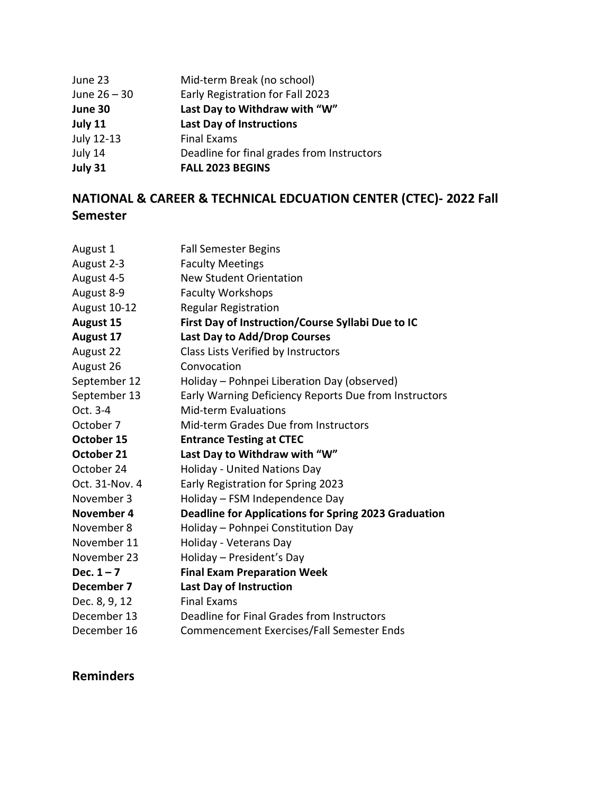| June 23        | Mid-term Break (no school)                 |
|----------------|--------------------------------------------|
| June $26 - 30$ | Early Registration for Fall 2023           |
| June 30        | Last Day to Withdraw with "W"              |
| July 11        | <b>Last Day of Instructions</b>            |
| July 12-13     | <b>Final Exams</b>                         |
| July 14        | Deadline for final grades from Instructors |
| July 31        | <b>FALL 2023 BEGINS</b>                    |

## **NATIONAL & CAREER & TECHNICAL EDCUATION CENTER (CTEC)- 2022 Fall Semester**

| August 1         | <b>Fall Semester Begins</b>                                 |
|------------------|-------------------------------------------------------------|
| August 2-3       | <b>Faculty Meetings</b>                                     |
| August 4-5       | <b>New Student Orientation</b>                              |
| August 8-9       | <b>Faculty Workshops</b>                                    |
| August 10-12     | <b>Regular Registration</b>                                 |
| <b>August 15</b> | First Day of Instruction/Course Syllabi Due to IC           |
| <b>August 17</b> | <b>Last Day to Add/Drop Courses</b>                         |
| August 22        | Class Lists Verified by Instructors                         |
| August 26        | Convocation                                                 |
| September 12     | Holiday - Pohnpei Liberation Day (observed)                 |
| September 13     | Early Warning Deficiency Reports Due from Instructors       |
| Oct. 3-4         | <b>Mid-term Evaluations</b>                                 |
| October 7        | Mid-term Grades Due from Instructors                        |
| October 15       | <b>Entrance Testing at CTEC</b>                             |
| October 21       | Last Day to Withdraw with "W"                               |
| October 24       | <b>Holiday - United Nations Day</b>                         |
| Oct. 31-Nov. 4   | Early Registration for Spring 2023                          |
| November 3       | Holiday - FSM Independence Day                              |
| November 4       | <b>Deadline for Applications for Spring 2023 Graduation</b> |
| November 8       | Holiday - Pohnpei Constitution Day                          |
| November 11      | Holiday - Veterans Day                                      |
| November 23      | Holiday - President's Day                                   |
| Dec. $1 - 7$     | <b>Final Exam Preparation Week</b>                          |
| December 7       | <b>Last Day of Instruction</b>                              |
| Dec. 8, 9, 12    | <b>Final Exams</b>                                          |
| December 13      | Deadline for Final Grades from Instructors                  |
| December 16      | Commencement Exercises/Fall Semester Ends                   |

#### **Reminders**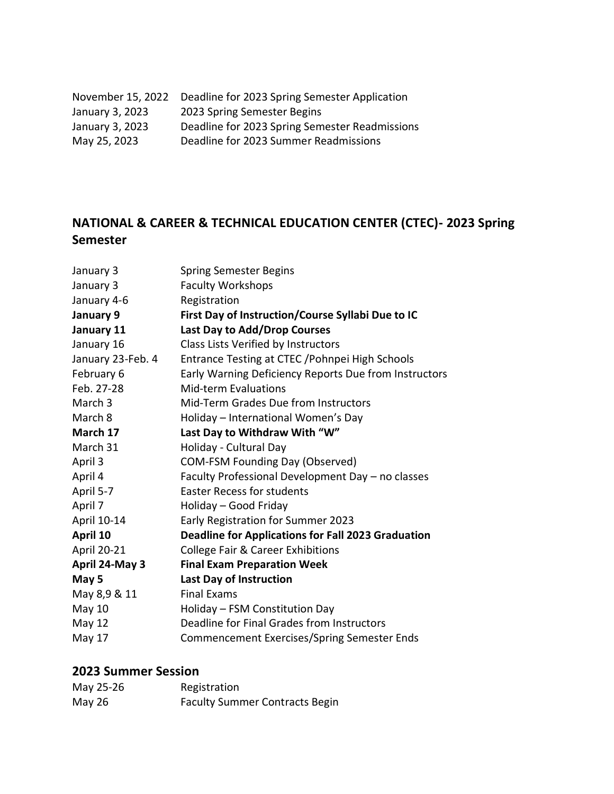| November 15, 2022 | Deadline for 2023 Spring Semester Application  |
|-------------------|------------------------------------------------|
| January 3, 2023   | 2023 Spring Semester Begins                    |
| January 3, 2023   | Deadline for 2023 Spring Semester Readmissions |
| May 25, 2023      | Deadline for 2023 Summer Readmissions          |

### **NATIONAL & CAREER & TECHNICAL EDUCATION CENTER (CTEC)- 2023 Spring Semester**

| January 3          | <b>Spring Semester Begins</b>                             |
|--------------------|-----------------------------------------------------------|
| January 3          | <b>Faculty Workshops</b>                                  |
| January 4-6        | Registration                                              |
| January 9          | First Day of Instruction/Course Syllabi Due to IC         |
| January 11         | Last Day to Add/Drop Courses                              |
| January 16         | Class Lists Verified by Instructors                       |
| January 23-Feb. 4  | Entrance Testing at CTEC / Pohnpei High Schools           |
| February 6         | Early Warning Deficiency Reports Due from Instructors     |
| Feb. 27-28         | Mid-term Evaluations                                      |
| March <sub>3</sub> | Mid-Term Grades Due from Instructors                      |
| March 8            | Holiday - International Women's Day                       |
| March 17           | Last Day to Withdraw With "W"                             |
| March 31           | Holiday - Cultural Day                                    |
| April 3            | <b>COM-FSM Founding Day (Observed)</b>                    |
| April 4            | Faculty Professional Development Day - no classes         |
| April 5-7          | <b>Easter Recess for students</b>                         |
| April 7            | Holiday - Good Friday                                     |
| April 10-14        | Early Registration for Summer 2023                        |
| April 10           | <b>Deadline for Applications for Fall 2023 Graduation</b> |
| April 20-21        | <b>College Fair &amp; Career Exhibitions</b>              |
| April 24-May 3     | <b>Final Exam Preparation Week</b>                        |
| May 5              | <b>Last Day of Instruction</b>                            |
| May 8,9 & 11       | <b>Final Exams</b>                                        |
| May 10             | Holiday - FSM Constitution Day                            |
| <b>May 12</b>      | Deadline for Final Grades from Instructors                |
| May 17             | <b>Commencement Exercises/Spring Semester Ends</b>        |
|                    |                                                           |

| May 25-26 | Registration                          |
|-----------|---------------------------------------|
| May 26    | <b>Faculty Summer Contracts Begin</b> |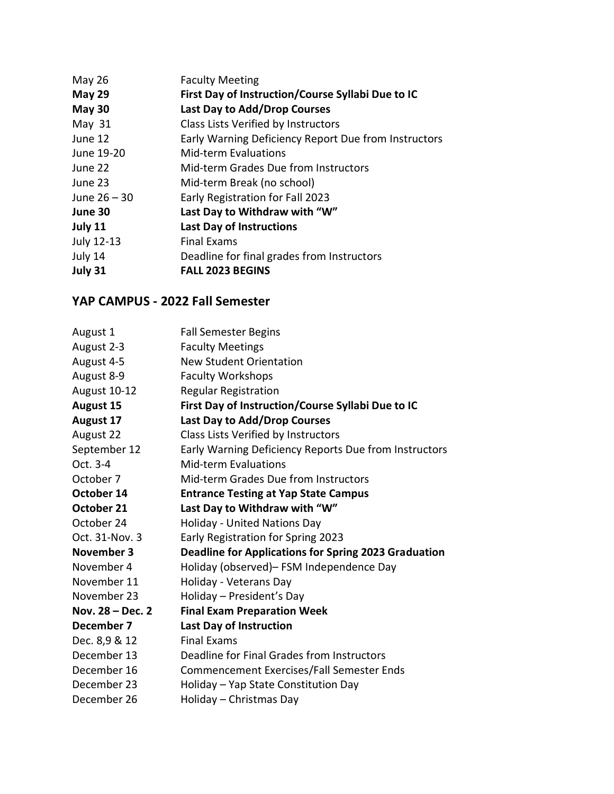| May 26         | <b>Faculty Meeting</b>                               |
|----------------|------------------------------------------------------|
| May 29         | First Day of Instruction/Course Syllabi Due to IC    |
| May 30         | Last Day to Add/Drop Courses                         |
| May $31$       | Class Lists Verified by Instructors                  |
| June 12        | Early Warning Deficiency Report Due from Instructors |
| June 19-20     | <b>Mid-term Evaluations</b>                          |
| June 22        | Mid-term Grades Due from Instructors                 |
| June 23        | Mid-term Break (no school)                           |
| June $26 - 30$ | Early Registration for Fall 2023                     |
| June 30        | Last Day to Withdraw with "W"                        |
| July 11        | <b>Last Day of Instructions</b>                      |
| July 12-13     | <b>Final Exams</b>                                   |
| July 14        | Deadline for final grades from Instructors           |
| July 31        | <b>FALL 2023 BEGINS</b>                              |

#### **YAP CAMPUS - 2022 Fall Semester**

| August 1         | <b>Fall Semester Begins</b>                                 |
|------------------|-------------------------------------------------------------|
| August 2-3       | <b>Faculty Meetings</b>                                     |
| August 4-5       | <b>New Student Orientation</b>                              |
| August 8-9       | <b>Faculty Workshops</b>                                    |
| August 10-12     | <b>Regular Registration</b>                                 |
| <b>August 15</b> | First Day of Instruction/Course Syllabi Due to IC           |
| <b>August 17</b> | Last Day to Add/Drop Courses                                |
| August 22        | Class Lists Verified by Instructors                         |
| September 12     | Early Warning Deficiency Reports Due from Instructors       |
| Oct. 3-4         | <b>Mid-term Evaluations</b>                                 |
| October 7        | Mid-term Grades Due from Instructors                        |
| October 14       | <b>Entrance Testing at Yap State Campus</b>                 |
| October 21       | Last Day to Withdraw with "W"                               |
| October 24       | <b>Holiday - United Nations Day</b>                         |
| Oct. 31-Nov. 3   | Early Registration for Spring 2023                          |
| November 3       | <b>Deadline for Applications for Spring 2023 Graduation</b> |
| November 4       | Holiday (observed)- FSM Independence Day                    |
| November 11      | Holiday - Veterans Day                                      |
| November 23      | Holiday - President's Day                                   |
| Nov. 28 – Dec. 2 | <b>Final Exam Preparation Week</b>                          |
| December 7       | <b>Last Day of Instruction</b>                              |
| Dec. 8,9 & 12    | <b>Final Exams</b>                                          |
| December 13      | Deadline for Final Grades from Instructors                  |
| December 16      | Commencement Exercises/Fall Semester Ends                   |
| December 23      | Holiday - Yap State Constitution Day                        |
| December 26      | Holiday - Christmas Day                                     |
|                  |                                                             |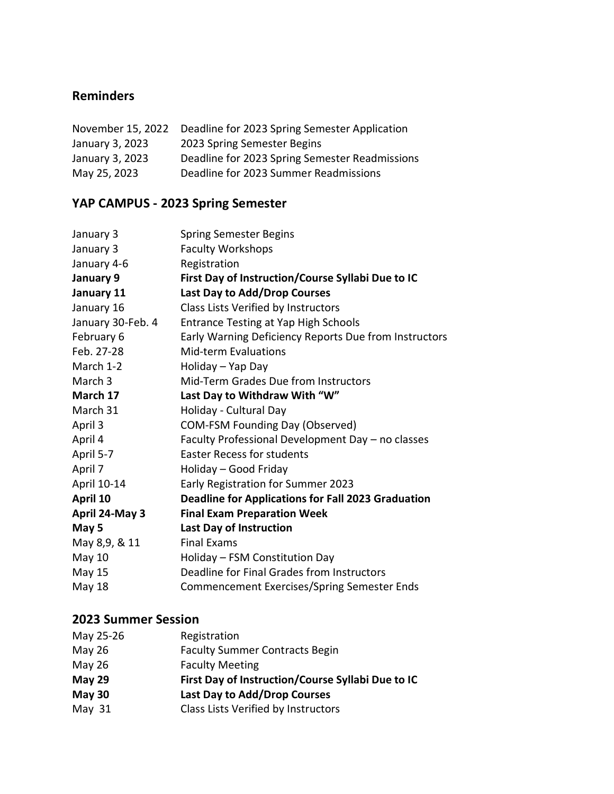#### **Reminders**

| November 15, 2022 | Deadline for 2023 Spring Semester Application  |
|-------------------|------------------------------------------------|
| January 3, 2023   | 2023 Spring Semester Begins                    |
| January 3, 2023   | Deadline for 2023 Spring Semester Readmissions |
| May 25, 2023      | Deadline for 2023 Summer Readmissions          |

# **YAP CAMPUS - 2023 Spring Semester**

| January 3         | <b>Spring Semester Begins</b>                             |
|-------------------|-----------------------------------------------------------|
| January 3         | <b>Faculty Workshops</b>                                  |
| January 4-6       | Registration                                              |
| January 9         | First Day of Instruction/Course Syllabi Due to IC         |
| January 11        | Last Day to Add/Drop Courses                              |
| January 16        | Class Lists Verified by Instructors                       |
| January 30-Feb. 4 | Entrance Testing at Yap High Schools                      |
| February 6        | Early Warning Deficiency Reports Due from Instructors     |
| Feb. 27-28        | <b>Mid-term Evaluations</b>                               |
| March 1-2         | Holiday - Yap Day                                         |
| March 3           | Mid-Term Grades Due from Instructors                      |
| March 17          | Last Day to Withdraw With "W"                             |
| March 31          | Holiday - Cultural Day                                    |
| April 3           | <b>COM-FSM Founding Day (Observed)</b>                    |
| April 4           | Faculty Professional Development Day - no classes         |
| April 5-7         | <b>Easter Recess for students</b>                         |
| April 7           | Holiday - Good Friday                                     |
| April 10-14       | Early Registration for Summer 2023                        |
| April 10          | <b>Deadline for Applications for Fall 2023 Graduation</b> |
| April 24-May 3    | <b>Final Exam Preparation Week</b>                        |
| May 5             | <b>Last Day of Instruction</b>                            |
| May 8,9, & 11     | <b>Final Exams</b>                                        |
| May 10            | Holiday - FSM Constitution Day                            |
| <b>May 15</b>     | Deadline for Final Grades from Instructors                |
| May 18            | Commencement Exercises/Spring Semester Ends               |
|                   |                                                           |

| May 25-26     | Registration                                      |
|---------------|---------------------------------------------------|
| May 26        | <b>Faculty Summer Contracts Begin</b>             |
| <b>May 26</b> | <b>Faculty Meeting</b>                            |
| <b>May 29</b> | First Day of Instruction/Course Syllabi Due to IC |
| <b>May 30</b> | <b>Last Day to Add/Drop Courses</b>               |
| May $31$      | Class Lists Verified by Instructors               |